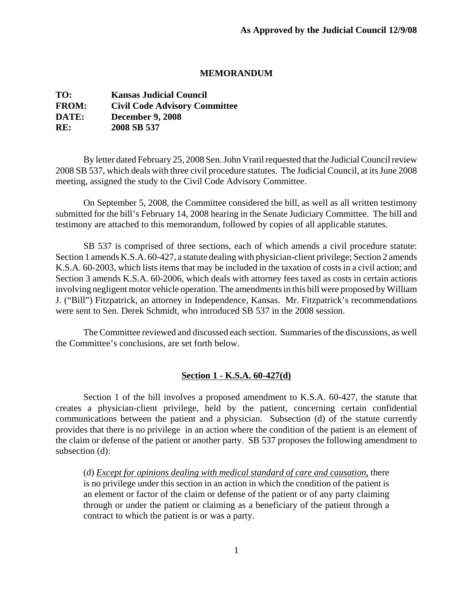### **MEMORANDUM**

**TO: Kansas Judicial Council FROM: Civil Code Advisory Committee DATE: December 9, 2008 RE: 2008 SB 537**

By letter dated February 25, 2008 Sen. John Vratil requested that the Judicial Council review 2008 SB 537, which deals with three civil procedure statutes. The Judicial Council, at its June 2008 meeting, assigned the study to the Civil Code Advisory Committee.

On September 5, 2008, the Committee considered the bill, as well as all written testimony submitted for the bill's February 14, 2008 hearing in the Senate Judiciary Committee. The bill and testimony are attached to this memorandum, followed by copies of all applicable statutes.

SB 537 is comprised of three sections, each of which amends a civil procedure statute: Section 1 amends K.S.A. 60-427, a statute dealing with physician-client privilege; Section 2 amends K.S.A. 60-2003, which lists items that may be included in the taxation of costs in a civil action; and Section 3 amends K.S.A. 60-2006, which deals with attorney fees taxed as costs in certain actions involving negligent motor vehicle operation. The amendments in this bill were proposed by William J. ("Bill") Fitzpatrick, an attorney in Independence, Kansas. Mr. Fitzpatrick's recommendations were sent to Sen. Derek Schmidt, who introduced SB 537 in the 2008 session.

The Committee reviewed and discussed each section. Summaries of the discussions, as well the Committee's conclusions, are set forth below.

## **Section 1 - K.S.A. 60-427(d)**

Section 1 of the bill involves a proposed amendment to K.S.A. 60-427, the statute that creates a physician-client privilege, held by the patient, concerning certain confidential communications between the patient and a physician. Subsection (d) of the statute currently provides that there is no privilege in an action where the condition of the patient is an element of the claim or defense of the patient or another party. SB 537 proposes the following amendment to subsection (d):

(d) *Except for opinions dealing with medical standard of care and causation*, there is no privilege under this section in an action in which the condition of the patient is an element or factor of the claim or defense of the patient or of any party claiming through or under the patient or claiming as a beneficiary of the patient through a contract to which the patient is or was a party.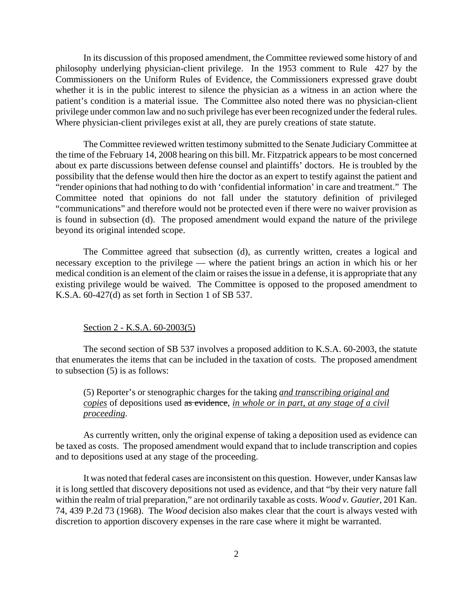In its discussion of this proposed amendment, the Committee reviewed some history of and philosophy underlying physician-client privilege. In the 1953 comment to Rule 427 by the Commissioners on the Uniform Rules of Evidence, the Commissioners expressed grave doubt whether it is in the public interest to silence the physician as a witness in an action where the patient's condition is a material issue. The Committee also noted there was no physician-client privilege under common law and no such privilege has ever been recognized under the federal rules. Where physician-client privileges exist at all, they are purely creations of state statute.

The Committee reviewed written testimony submitted to the Senate Judiciary Committee at the time of the February 14, 2008 hearing on this bill. Mr. Fitzpatrick appears to be most concerned about ex parte discussions between defense counsel and plaintiffs' doctors. He is troubled by the possibility that the defense would then hire the doctor as an expert to testify against the patient and "render opinions that had nothing to do with 'confidential information' in care and treatment." The Committee noted that opinions do not fall under the statutory definition of privileged "communications" and therefore would not be protected even if there were no waiver provision as is found in subsection (d). The proposed amendment would expand the nature of the privilege beyond its original intended scope.

The Committee agreed that subsection (d), as currently written, creates a logical and necessary exception to the privilege — where the patient brings an action in which his or her medical condition is an element of the claim or raises the issue in a defense, it is appropriate that any existing privilege would be waived. The Committee is opposed to the proposed amendment to K.S.A. 60-427(d) as set forth in Section 1 of SB 537.

#### Section 2 - K.S.A. 60-2003(5)

The second section of SB 537 involves a proposed addition to K.S.A. 60-2003, the statute that enumerates the items that can be included in the taxation of costs. The proposed amendment to subsection (5) is as follows:

# (5) Reporter's or stenographic charges for the taking *and transcribing original and copies* of depositions used as evidence, *in whole or in part, at any stage of a civil proceeding*.

As currently written, only the original expense of taking a deposition used as evidence can be taxed as costs. The proposed amendment would expand that to include transcription and copies and to depositions used at any stage of the proceeding.

It was noted that federal cases are inconsistent on this question. However, under Kansas law it is long settled that discovery depositions not used as evidence, and that "by their very nature fall within the realm of trial preparation," are not ordinarily taxable as costs. *Wood v. Gautier*, 201 Kan. 74, 439 P.2d 73 (1968). The *Wood* decision also makes clear that the court is always vested with discretion to apportion discovery expenses in the rare case where it might be warranted.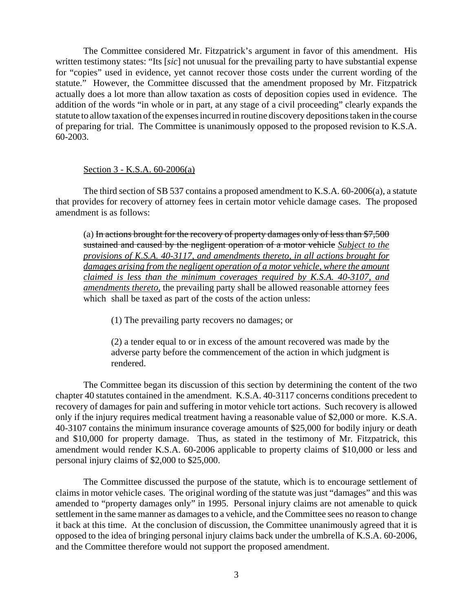The Committee considered Mr. Fitzpatrick's argument in favor of this amendment. His written testimony states: "Its [*sic*] not unusual for the prevailing party to have substantial expense for "copies" used in evidence, yet cannot recover those costs under the current wording of the statute." However, the Committee discussed that the amendment proposed by Mr. Fitzpatrick actually does a lot more than allow taxation as costs of deposition copies used in evidence. The addition of the words "in whole or in part, at any stage of a civil proceeding" clearly expands the statute to allow taxation of the expenses incurred in routine discovery depositions taken in the course of preparing for trial. The Committee is unanimously opposed to the proposed revision to K.S.A. 60-2003.

# Section 3 - K.S.A. 60-2006(a)

The third section of SB 537 contains a proposed amendment to K.S.A. 60-2006(a), a statute that provides for recovery of attorney fees in certain motor vehicle damage cases. The proposed amendment is as follows:

(a) In actions brought for the recovery of property damages only of less than  $$7,500$ sustained and caused by the negligent operation of a motor vehicle *Subject to the provisions of K.S.A. 40-3117, and amendments thereto, in all actions brought for damages arising from the negligent operation of a motor vehicle, where the amount claimed is less than the minimum coverages required by K.S.A. 40-3107, and amendments thereto,* the prevailing party shall be allowed reasonable attorney fees which shall be taxed as part of the costs of the action unless:

(1) The prevailing party recovers no damages; or

(2) a tender equal to or in excess of the amount recovered was made by the adverse party before the commencement of the action in which judgment is rendered.

The Committee began its discussion of this section by determining the content of the two chapter 40 statutes contained in the amendment. K.S.A. 40-3117 concerns conditions precedent to recovery of damages for pain and suffering in motor vehicle tort actions. Such recovery is allowed only if the injury requires medical treatment having a reasonable value of \$2,000 or more. K.S.A. 40-3107 contains the minimum insurance coverage amounts of \$25,000 for bodily injury or death and \$10,000 for property damage. Thus, as stated in the testimony of Mr. Fitzpatrick, this amendment would render K.S.A. 60-2006 applicable to property claims of \$10,000 or less and personal injury claims of \$2,000 to \$25,000.

The Committee discussed the purpose of the statute, which is to encourage settlement of claims in motor vehicle cases. The original wording of the statute was just "damages" and this was amended to "property damages only" in 1995. Personal injury claims are not amenable to quick settlement in the same manner as damages to a vehicle, and the Committee sees no reason to change it back at this time. At the conclusion of discussion, the Committee unanimously agreed that it is opposed to the idea of bringing personal injury claims back under the umbrella of K.S.A. 60-2006, and the Committee therefore would not support the proposed amendment.